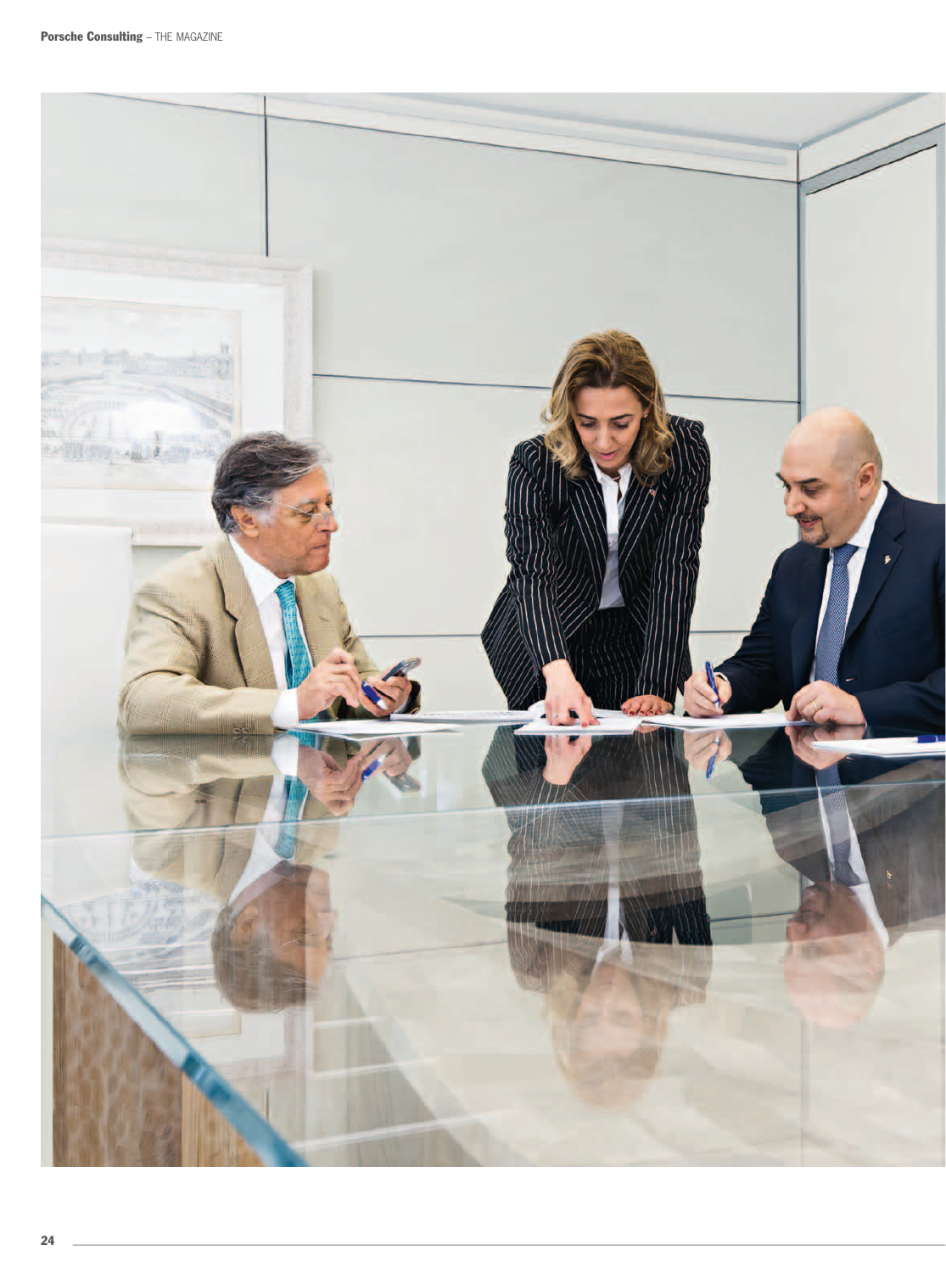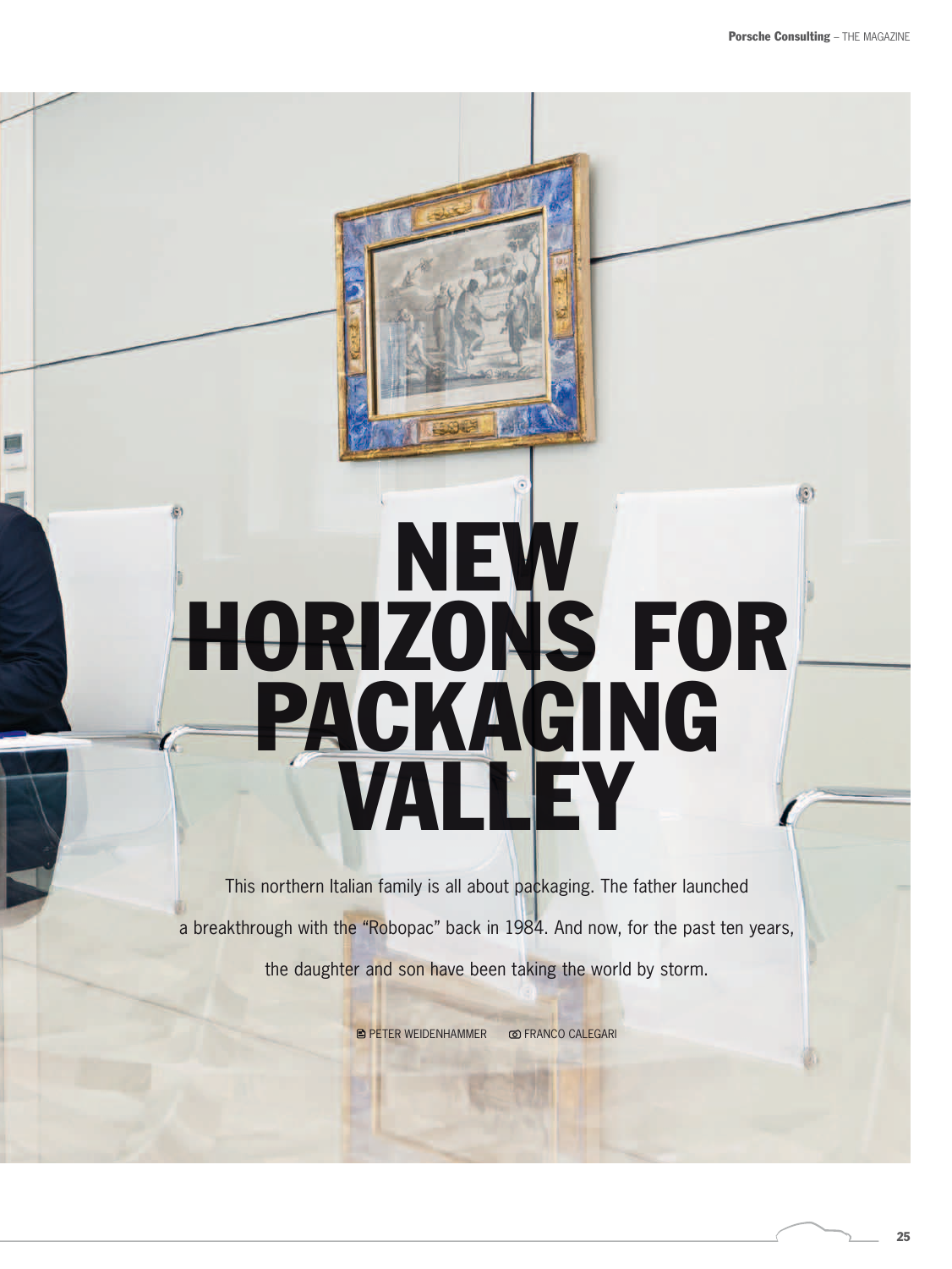## **NEW** horizons for Packaging Valley

This northern Italian family is all about packaging. The father launched a breakthrough with the "Robopac" back in 1984. And now, for the past ten years, the daughter and son have been taking the world by storm.

**B PETER WEIDENHAMMER 60 FRANCO CALEGARI**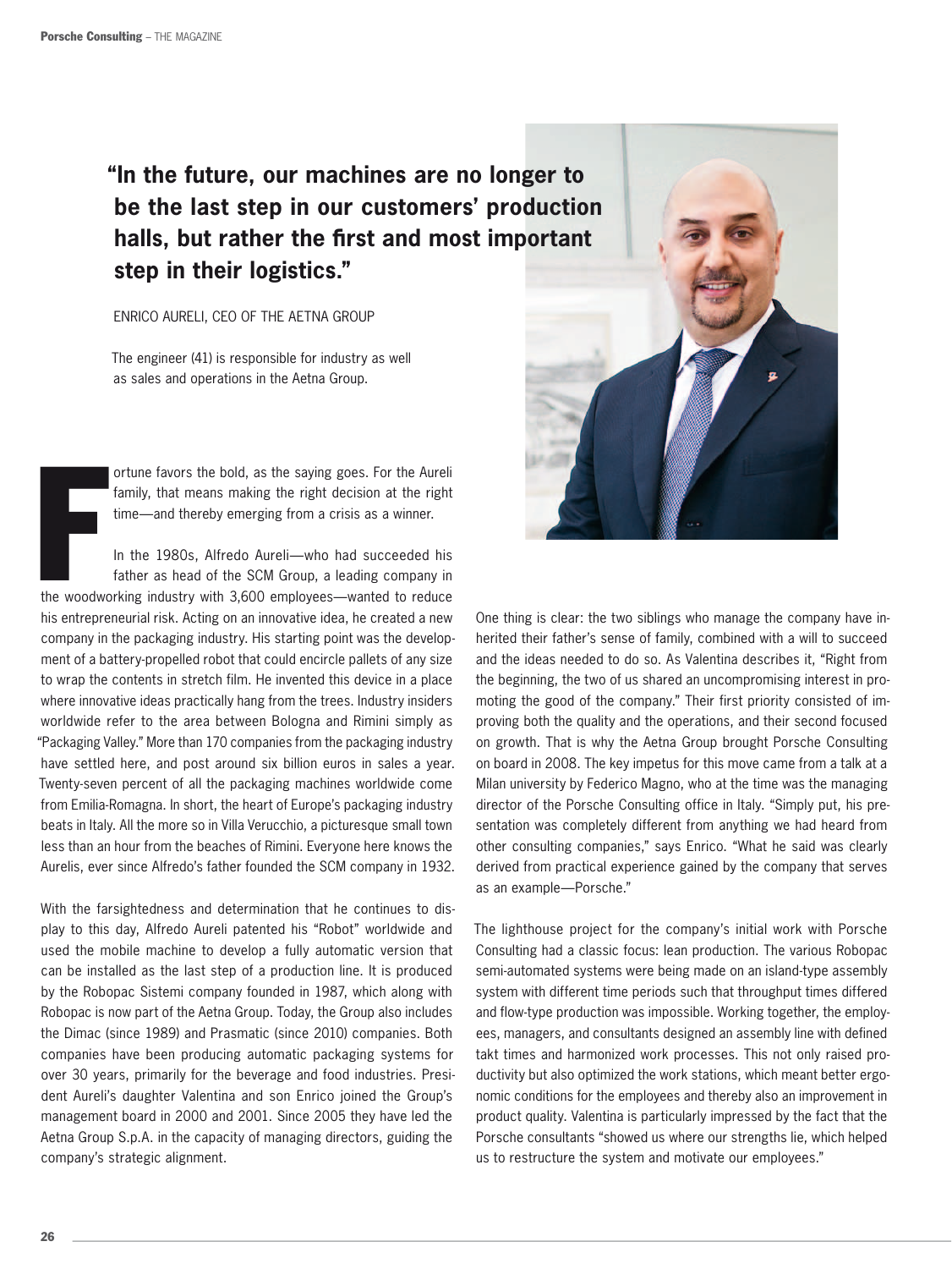## "In the future, our machines are no longer to be the last step in our customers' production halls, but rather the first and most important step in their logistics."

Enrico Aureli, CEO of the Aetna Group

The engineer (41) is responsible for industry as well as sales and operations in the Aetna Group.

ortune favors the bold, as the saying goes. For the Aureli family, that means making the right decision at the right time—and thereby emerging from a crisis as a winner.

Francisco Maria<br>Francisco Maria<br>Francisco Maria In the 1980s, Alfredo Aureli—who had succeeded his father as head of the SCM Group, a leading company in the woodworking industry with 3,600 employees—wanted to reduce his entrepreneurial risk. Acting on an innovative idea, he created a new company in the packaging industry. His starting point was the development of a battery-propelled robot that could encircle pallets of any size to wrap the contents in stretch film. He invented this device in a place where innovative ideas practically hang from the trees. Industry insiders worldwide refer to the area between Bologna and Rimini simply as "Packaging Valley." More than 170 companies from the packaging industry have settled here, and post around six billion euros in sales a year. Twenty-seven percent of all the packaging machines worldwide come from Emilia-Romagna. In short, the heart of Europe's packaging industry beats in Italy. All the more so in Villa Verucchio, a picturesque small town less than an hour from the beaches of Rimini. Everyone here knows the Aurelis, ever since Alfredo's father founded the SCM company in 1932.

With the farsightedness and determination that he continues to display to this day, Alfredo Aureli patented his "Robot" worldwide and used the mobile machine to develop a fully automatic version that can be installed as the last step of a production line. It is produced by the Robopac Sistemi company founded in 1987, which along with Robopac is now part of the Aetna Group. Today, the Group also includes the Dimac (since 1989) and Prasmatic (since 2010) companies. Both companies have been producing automatic packaging systems for over 30 years, primarily for the beverage and food industries. President Aureli's daughter Valentina and son Enrico joined the Group's management board in 2000 and 2001. Since 2005 they have led the Aetna Group S.p.A. in the capacity of managing directors, guiding the company's strategic alignment.



One thing is clear: the two siblings who manage the company have inherited their father's sense of family, combined with a will to succeed and the ideas needed to do so. As Valentina describes it, "Right from the beginning, the two of us shared an uncompromising interest in promoting the good of the company." Their first priority consisted of improving both the quality and the operations, and their second focused on growth. That is why the Aetna Group brought Porsche Consulting on board in 2008. The key impetus for this move came from a talk at a Milan university by Federico Magno, who at the time was the managing director of the Porsche Consulting office in Italy. "Simply put, his presentation was completely different from anything we had heard from other consulting companies," says Enrico. "What he said was clearly derived from practical experience gained by the company that serves as an example—Porsche."

The lighthouse project for the company's initial work with Porsche Consulting had a classic focus: lean production. The various Robopac semi-automated systems were being made on an island-type assembly system with different time periods such that throughput times differed and flow-type production was impossible. Working together, the employees, managers, and consultants designed an assembly line with defined takt times and harmonized work processes. This not only raised productivity but also optimized the work stations, which meant better ergonomic conditions for the employees and thereby also an improvement in product quality. Valentina is particularly impressed by the fact that the Porsche consultants "showed us where our strengths lie, which helped us to restructure the system and motivate our employees."